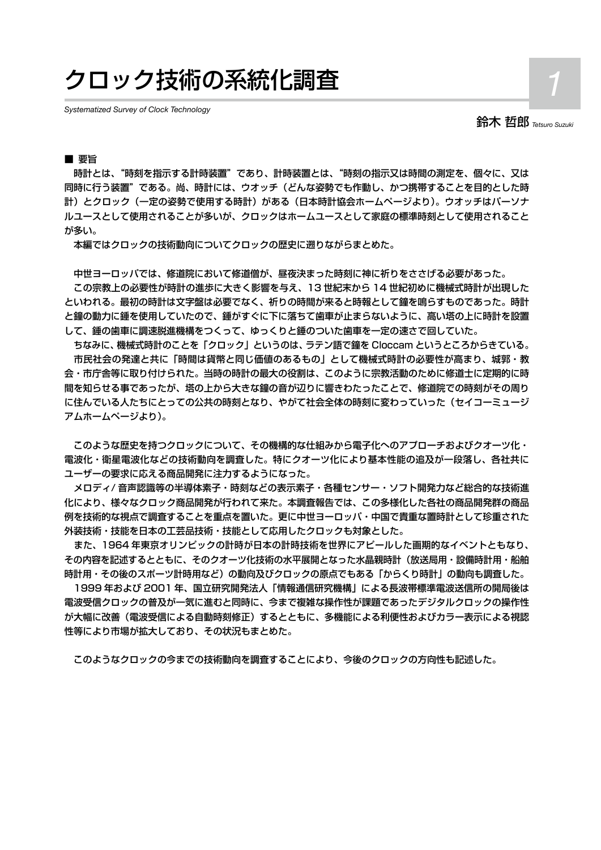# クロック技術の系統化調査 *1*

*Systematized Survey of Clock Technology*

鈴木 哲郎 *Tetsuro Suzuki*

#### ■ 要旨

 時計とは、"時刻を指示する計時装置"であり、計時装置とは、"時刻の指示又は時間の測定を、個々に、又は 同時に行う装置"である。尚、時計には、ウオッチ(どんな姿勢でも作動し、かつ携帯することを目的とした時 計)とクロック(一定の姿勢で使用する時計)がある(日本時計協会ホームページより)。ウオッチはパーソナ ルユースとして使用されることが多いが、クロックはホームユースとして家庭の標準時刻として使用されること が多い。

本編ではクロックの技術動向についてクロックの歴史に遡りながらまとめた。

中世ヨーロッパでは、修道院において修道僧が、昼夜決まった時刻に神に祈りをささげる必要があった。

 この宗教上の必要性が時計の進歩に大きく影響を与え、13 世紀末から 14 世紀初めに機械式時計が出現した といわれる。最初の時計は文字盤は必要でなく、祈りの時間が来ると時報として鐘を鳴らすものであった。時計 と鐘の動力に錘を使用していたので、錘がすぐに下に落ちて歯車が止まらないように、高い塔の上に時計を設置 して、錘の歯車に調速脱進機構をつくって、ゆっくりと錘のついた歯車を一定の速さで回していた。

ちなみに、機械式時計のことを「クロック」というのは、ラテン語で鐘を Cloccam というところからきている。 市民社会の発達と共に「時間は貨幣と同じ価値のあるもの」として機械式時計の必要性が高まり、城郭・教 会・市庁舎等に取り付けられた。当時の時計の最大の役割は、このように宗教活動のために修道士に定期的に時 間を知らせる事であったが、塔の上から大きな鐘の音が辺りに響きわたったことで、修道院での時刻がその周り に住んでいる人たちにとっての公共の時刻となり、やがて社会全体の時刻に変わっていった(セイコーミュージ アムホームページより)。

 このような歴史を持つクロックについて、その機構的な仕組みから電子化へのアプローチおよびクオーツ化・ 電波化・衛星電波化などの技術動向を調査した。特にクオーツ化により基本性能の追及が一段落し、各社共に ユーザーの要求に応える商品開発に注力するようになった。

 メロディ/ 音声認識等の半導体素子・時刻などの表示素子・各種センサー・ソフト開発力など総合的な技術進 化により、様々なクロック商品開発が行われて来た。本調査報告では、この多様化した各社の商品開発群の商品 例を技術的な視点で調査することを重点を置いた。更に中世ヨーロッパ・中国で貴重な置時計として珍重された 外装技術・技能を日本の工芸品技術・技能として応用したクロックも対象とした。

また、1964 年東京オリンピックの計時が日本の計時技術を世界にアピールした画期的なイベントともなり、 その内容を記述するとともに、そのクオーツ化技術の水平展開となった水晶親時計(放送局用・設備時計用・船舶 時計用・その後のスポーツ計時用など)の動向及びクロックの原点でもある「からくり時計」の動向も調査した。

 1999 年および 2001 年、国立研究開発法人「情報通信研究機構」による長波帯標準電波送信所の開局後は 電波受信クロックの普及が一気に進むと同時に、今まで複雑な操作性が課題であったデジタルクロックの操作性 が大幅に改善(電波受信による自動時刻修正)するとともに、多機能による利便性およびカラー表示による視認 性等により市場が拡大しており、その状況もまとめた。

このようなクロックの今までの技術動向を調査することにより、今後のクロックの方向性も記述した。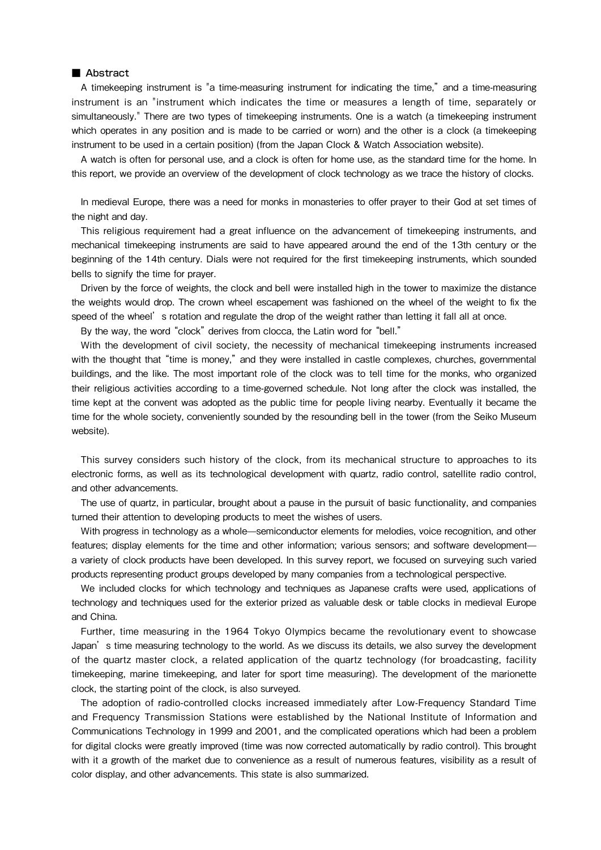#### ■ Abstract

A timekeeping instrument is "a time-measuring instrument for indicating the time," and a time-measuring instrument is an "instrument which indicates the time or measures a length of time, separately or simultaneously." There are two types of timekeeping instruments. One is a watch (a timekeeping instrument which operates in any position and is made to be carried or worn) and the other is a clock (a timekeeping instrument to be used in a certain position) (from the Japan Clock & Watch Association website).

A watch is often for personal use, and a clock is often for home use, as the standard time for the home. In this report, we provide an overview of the development of clock technology as we trace the history of clocks.

In medieval Europe, there was a need for monks in monasteries to offer prayer to their God at set times of the night and day.

This religious requirement had a great influence on the advancement of timekeeping instruments, and mechanical timekeeping instruments are said to have appeared around the end of the 13th century or the beginning of the 14th century. Dials were not required for the first timekeeping instruments, which sounded bells to signify the time for prayer.

Driven by the force of weights, the clock and bell were installed high in the tower to maximize the distance the weights would drop. The crown wheel escapement was fashioned on the wheel of the weight to fix the speed of the wheel's rotation and regulate the drop of the weight rather than letting it fall all at once.

By the way, the word "clock" derives from clocca, the Latin word for "bell."

With the development of civil society, the necessity of mechanical timekeeping instruments increased with the thought that "time is money," and they were installed in castle complexes, churches, governmental buildings, and the like. The most important role of the clock was to tell time for the monks, who organized their religious activities according to a time-governed schedule. Not long after the clock was installed, the time kept at the convent was adopted as the public time for people living nearby. Eventually it became the time for the whole society, conveniently sounded by the resounding bell in the tower (from the Seiko Museum website).

This survey considers such history of the clock, from its mechanical structure to approaches to its electronic forms, as well as its technological development with quartz, radio control, satellite radio control, and other advancements.

The use of quartz, in particular, brought about a pause in the pursuit of basic functionality, and companies turned their attention to developing products to meet the wishes of users.

With progress in technology as a whole—semiconductor elements for melodies, voice recognition, and other features; display elements for the time and other information; various sensors; and software development a variety of clock products have been developed. In this survey report, we focused on surveying such varied products representing product groups developed by many companies from a technological perspective.

We included clocks for which technology and techniques as Japanese crafts were used, applications of technology and techniques used for the exterior prized as valuable desk or table clocks in medieval Europe and China.

Further, time measuring in the 1964 Tokyo Olympics became the revolutionary event to showcase Japan's time measuring technology to the world. As we discuss its details, we also survey the development of the quartz master clock, a related application of the quartz technology (for broadcasting, facility timekeeping, marine timekeeping, and later for sport time measuring). The development of the marionette clock, the starting point of the clock, is also surveyed.

The adoption of radio-controlled clocks increased immediately after Low-Frequency Standard Time and Frequency Transmission Stations were established by the National Institute of Information and Communications Technology in 1999 and 2001, and the complicated operations which had been a problem for digital clocks were greatly improved (time was now corrected automatically by radio control). This brought with it a growth of the market due to convenience as a result of numerous features, visibility as a result of color display, and other advancements. This state is also summarized.